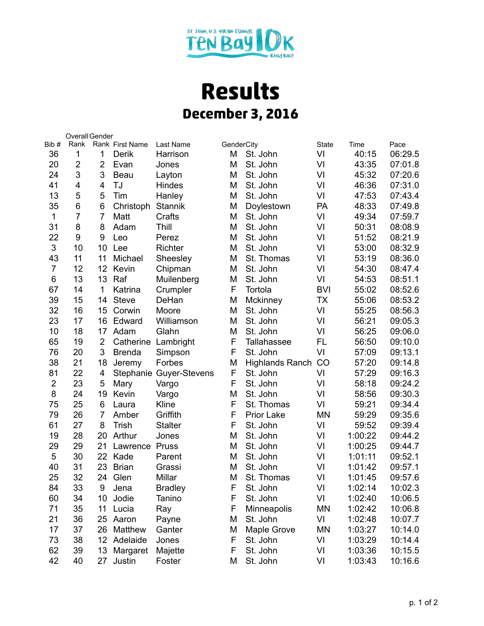

## **Results December 3, 2016**

|                | Overall Gender |                |                 |                         |            |                        |              |         |         |
|----------------|----------------|----------------|-----------------|-------------------------|------------|------------------------|--------------|---------|---------|
| Bib#           | Rank           |                | Rank First Name | Last Name               | GenderCity |                        | <b>State</b> | Time    | Pace    |
| 36             | 1              | 1              | Derik           | Harrison                | Μ          | St. John               | VI           | 40:15   | 06:29.5 |
| 20             | $\overline{2}$ | $\overline{2}$ | Evan            | Jones                   | M          | St. John               | VI           | 43:35   | 07:01.8 |
| 24             | 3              | 3              | Beau            | Layton                  | M          | St. John               | VI           | 45:32   | 07:20.6 |
| 41             | 4              | $\overline{4}$ | TJ              | <b>Hindes</b>           | M          | St. John               | VI           | 46:36   | 07:31.0 |
| 13             | 5              | 5              | Tim             | Hanley                  | M          | St. John               | VI           | 47:53   | 07:43.4 |
| 35             | 6              | 6              | Christoph       | <b>Stannik</b>          | M          | Doylestown             | PA           | 48:33   | 07:49.8 |
| 1              | $\overline{7}$ | $\overline{7}$ | Matt            | Crafts                  | M          | St. John               | VI           | 49:34   | 07:59.7 |
| 31             | 8              | 8              | Adam            | Thill                   | M          | St. John               | VI           | 50:31   | 08:08.9 |
| 22             | 9              | 9              | Leo             | Perez                   | M          | St. John               | VI           | 51:52   | 08:21.9 |
| 3              | 10             | 10             | Lee             | Richter                 | M          | St. John               | VI           | 53:00   | 08:32.9 |
| 43             | 11             | 11             | Michael         | Sheesley                | M          | St. Thomas             | VI           | 53:19   | 08:36.0 |
| $\overline{7}$ | 12             | 12             | Kevin           | Chipman                 | M          | St. John               | VI           | 54:30   | 08:47.4 |
| 6              | 13             | 13             | Raf             | Muilenberg              | M          | St. John               | VI           | 54:53   | 08:51.1 |
| 67             | 14             | $\mathbf 1$    | Katrina         | Crumpler                | F          | Tortola                | <b>BVI</b>   | 55:02   | 08:52.6 |
| 39             | 15             | 14             | <b>Steve</b>    | DeHan                   | M          | Mckinney               | <b>TX</b>    | 55:06   | 08:53.2 |
| 32             | 16             | 15             | Corwin          | Moore                   | M          | St. John               | VI           | 55:25   | 08:56.3 |
| 23             | 17             | 16             | Edward          | Williamson              | M          | St. John               | VI           | 56:21   | 09:05.3 |
| 10             | 18             | 17             | Adam            | Glahn                   | M          | St. John               | VI           | 56:25   | 09:06.0 |
| 65             | 19             | $\overline{2}$ | Catherine       | Lambright               | F          | <b>Tallahassee</b>     | FL           | 56:50   | 09:10.0 |
| 76             | 20             | 3              | <b>Brenda</b>   | Simpson                 | F          | St. John               | VI           | 57:09   | 09:13.1 |
| 38             | 21             | 18             | Jeremy          | Forbes                  | M          | <b>Highlands Ranch</b> | CO           | 57:20   | 09:14.8 |
| 81             | 22             | 4              |                 | Stephanie Guyer-Stevens | F          | St. John               | VI           | 57:29   | 09:16.3 |
| $\overline{2}$ | 23             | 5              | Mary            | Vargo                   | F          | St. John               | VI           | 58:18   | 09:24.2 |
| 8              | 24             | 19             | Kevin           | Vargo                   | M          | St. John               | VI           | 58:56   | 09:30.3 |
| 75             | 25             | 6              | Laura           | Kline                   | F          | St. Thomas             | VI           | 59:21   | 09:34.4 |
| 79             | 26             | $\overline{7}$ | Amber           | Griffith                | F          | <b>Prior Lake</b>      | <b>MN</b>    | 59:29   | 09:35.6 |
| 61             | 27             | 8              | <b>Trish</b>    | <b>Stalter</b>          | F          | St. John               | VI           | 59:52   | 09:39.4 |
| 19             | 28             | 20             | Arthur          | Jones                   | M          | St. John               | VI           | 1:00:22 | 09:44.2 |
| 29             | 29             | 21             | Lawrence        | Pruss                   | M          | St. John               | VI           | 1:00:25 | 09:44.7 |
| 5              | 30             | 22             | Kade            | Parent                  | M          | St. John               | VI           | 1:01:11 | 09:52.1 |
| 40             | 31             | 23             | <b>Brian</b>    | Grassi                  | M          | St. John               | VI           | 1:01:42 | 09:57.1 |
| 25             | 32             | 24             | Glen            | Millar                  | M          | St. Thomas             | VI           | 1:01:45 | 09:57.6 |
| 84             | 33             | 9              | Jena            | <b>Bradley</b>          | F.         | St. John               | VI           | 1:02:14 | 10:02.3 |
| 60             | 34             | 10             | Jodie           | Tanino                  | F          | St. John               | VI           | 1:02:40 | 10:06.5 |
| 71             | 35             | 11             | Lucia           | Ray                     | F          | Minneapolis            | MN           | 1:02:42 | 10:06.8 |
| 21             | 36             | 25             | Aaron           | Payne                   | M          | St. John               | VI           | 1:02:48 | 10:07.7 |
| 17             | 37             | 26             | Matthew         | Ganter                  | M          | Maple Grove            | MN           | 1:03:27 | 10:14.0 |
| 73             | 38             | 12             | Adelaide        | Jones                   | F          | St. John               | VI           | 1:03:29 | 10:14.4 |
| 62             | 39             | 13             | Margaret        | Majette                 | F          | St. John               | VI           | 1:03:36 | 10:15.5 |
| 42             | 40             | 27             | Justin          | Foster                  | Μ          | St. John               | VI           | 1:03:43 | 10:16.6 |
|                |                |                |                 |                         |            |                        |              |         |         |